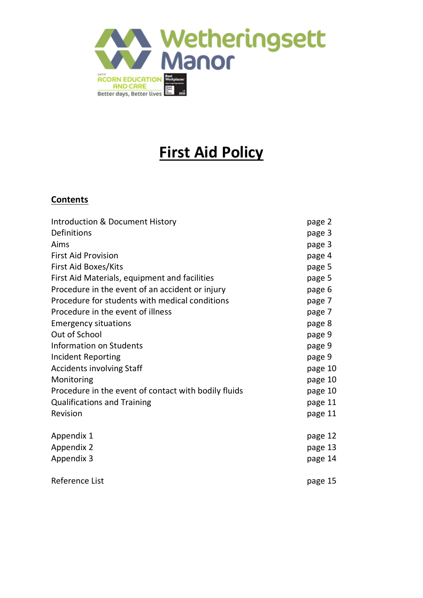

# **First Aid Policy**

## **Contents**

| Introduction & Document History                      | page 2  |
|------------------------------------------------------|---------|
| Definitions                                          | page 3  |
| Aims                                                 | page 3  |
| <b>First Aid Provision</b>                           | page 4  |
| First Aid Boxes/Kits                                 | page 5  |
| First Aid Materials, equipment and facilities        | page 5  |
| Procedure in the event of an accident or injury      | page 6  |
| Procedure for students with medical conditions       | page 7  |
| Procedure in the event of illness                    | page 7  |
| <b>Emergency situations</b>                          | page 8  |
| Out of School                                        | page 9  |
| Information on Students                              | page 9  |
| <b>Incident Reporting</b>                            | page 9  |
| <b>Accidents involving Staff</b>                     | page 10 |
| Monitoring                                           | page 10 |
| Procedure in the event of contact with bodily fluids | page 10 |
| <b>Qualifications and Training</b>                   | page 11 |
| Revision                                             | page 11 |
| Appendix 1                                           | page 12 |
| <b>Appendix 2</b>                                    | page 13 |
| Appendix 3                                           | page 14 |
| Reference List                                       | page 15 |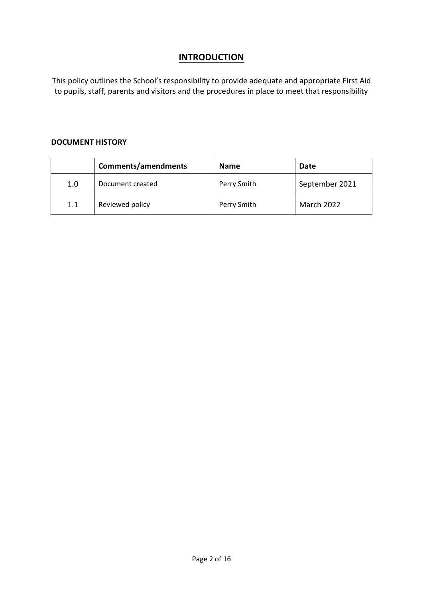## **INTRODUCTION**

This policy outlines the School's responsibility to provide adequate and appropriate First Aid to pupils, staff, parents and visitors and the procedures in place to meet that responsibility

#### **DOCUMENT HISTORY**

|     | <b>Comments/amendments</b> | <b>Name</b> | Date           |
|-----|----------------------------|-------------|----------------|
| 1.0 | Document created           | Perry Smith | September 2021 |
| 1.1 | Reviewed policy            | Perry Smith | March 2022     |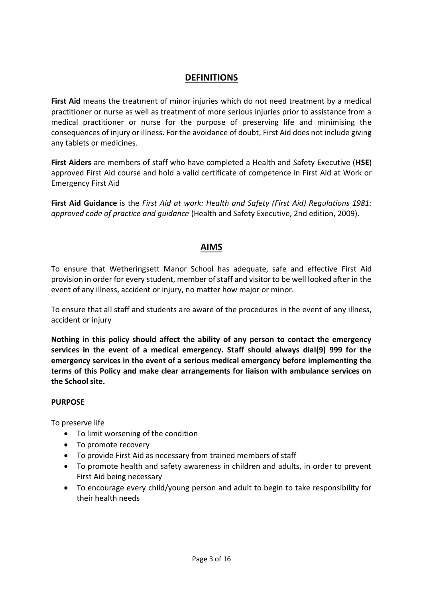#### **DEFINITIONS**

**First Aid** means the treatment of minor injuries which do not need treatment by a medical practitioner or nurse as well as treatment of more serious injuries prior to assistance from a medical practitioner or nurse for the purpose of preserving life and minimising the consequences of injury or illness. For the avoidance of doubt, First Aid does not include giving any tablets or medicines.

**First Aiders** are members of staff who have completed a Health and Safety Executive (**HSE**) approved First Aid course and hold a valid certificate of competence in First Aid at Work or Emergency First Aid

**First Aid Guidance** is the *First Aid at work: Health and Safety (First Aid) Regulations 1981: approved code of practice and guidance* (Health and Safety Executive, 2nd edition, 2009).

## **AIMS**

To ensure that Wetheringsett Manor School has adequate, safe and effective First Aid provision in order for every student, member of staff and visitor to be well looked after in the event of any illness, accident or injury, no matter how major or minor.

To ensure that all staff and students are aware of the procedures in the event of any illness, accident or injury

**Nothing in this policy should affect the ability of any person to contact the emergency services in the event of a medical emergency. Staff should always dial(9) 999 for the emergency services in the event of a serious medical emergency before implementing the terms of this Policy and make clear arrangements for liaison with ambulance services on the School site.** 

#### **PURPOSE**

To preserve life

- To limit worsening of the condition
- To promote recovery
- To provide First Aid as necessary from trained members of staff
- To promote health and safety awareness in children and adults, in order to prevent First Aid being necessary
- To encourage every child/young person and adult to begin to take responsibility for their health needs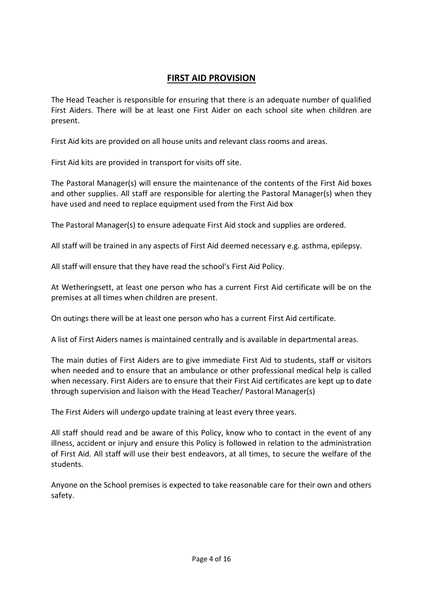## **FIRST AID PROVISION**

The Head Teacher is responsible for ensuring that there is an adequate number of qualified First Aiders. There will be at least one First Aider on each school site when children are present.

First Aid kits are provided on all house units and relevant class rooms and areas.

First Aid kits are provided in transport for visits off site.

The Pastoral Manager(s) will ensure the maintenance of the contents of the First Aid boxes and other supplies. All staff are responsible for alerting the Pastoral Manager(s) when they have used and need to replace equipment used from the First Aid box

The Pastoral Manager(s) to ensure adequate First Aid stock and supplies are ordered.

All staff will be trained in any aspects of First Aid deemed necessary e.g. asthma, epilepsy.

All staff will ensure that they have read the school's First Aid Policy.

At Wetheringsett, at least one person who has a current First Aid certificate will be on the premises at all times when children are present.

On outings there will be at least one person who has a current First Aid certificate.

A list of First Aiders names is maintained centrally and is available in departmental areas.

The main duties of First Aiders are to give immediate First Aid to students, staff or visitors when needed and to ensure that an ambulance or other professional medical help is called when necessary. First Aiders are to ensure that their First Aid certificates are kept up to date through supervision and liaison with the Head Teacher/ Pastoral Manager(s)

The First Aiders will undergo update training at least every three years.

All staff should read and be aware of this Policy, know who to contact in the event of any illness, accident or injury and ensure this Policy is followed in relation to the administration of First Aid. All staff will use their best endeavors, at all times, to secure the welfare of the students.

Anyone on the School premises is expected to take reasonable care for their own and others safety.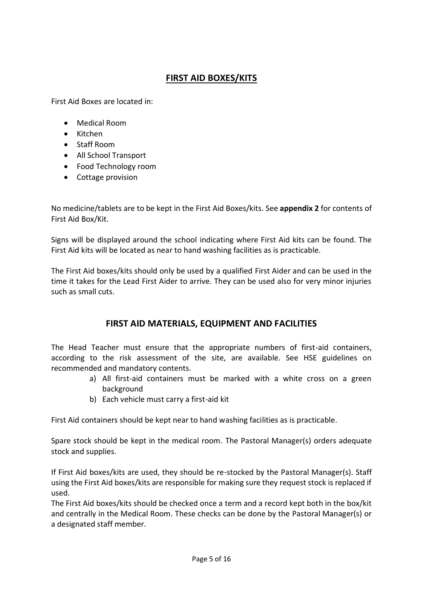# **FIRST AID BOXES/KITS**

First Aid Boxes are located in:

- Medical Room
- Kitchen
- Staff Room
- All School Transport
- Food Technology room
- Cottage provision

No medicine/tablets are to be kept in the First Aid Boxes/kits. See **appendix 2** for contents of First Aid Box/Kit.

Signs will be displayed around the school indicating where First Aid kits can be found. The First Aid kits will be located as near to hand washing facilities as is practicable.

The First Aid boxes/kits should only be used by a qualified First Aider and can be used in the time it takes for the Lead First Aider to arrive. They can be used also for very minor injuries such as small cuts.

#### **FIRST AID MATERIALS, EQUIPMENT AND FACILITIES**

The Head Teacher must ensure that the appropriate numbers of first-aid containers, according to the risk assessment of the site, are available. See HSE guidelines on recommended and mandatory contents.

- a) All first-aid containers must be marked with a white cross on a green background
- b) Each vehicle must carry a first-aid kit

First Aid containers should be kept near to hand washing facilities as is practicable.

Spare stock should be kept in the medical room. The Pastoral Manager(s) orders adequate stock and supplies.

If First Aid boxes/kits are used, they should be re-stocked by the Pastoral Manager(s). Staff using the First Aid boxes/kits are responsible for making sure they request stock is replaced if used.

The First Aid boxes/kits should be checked once a term and a record kept both in the box/kit and centrally in the Medical Room. These checks can be done by the Pastoral Manager(s) or a designated staff member.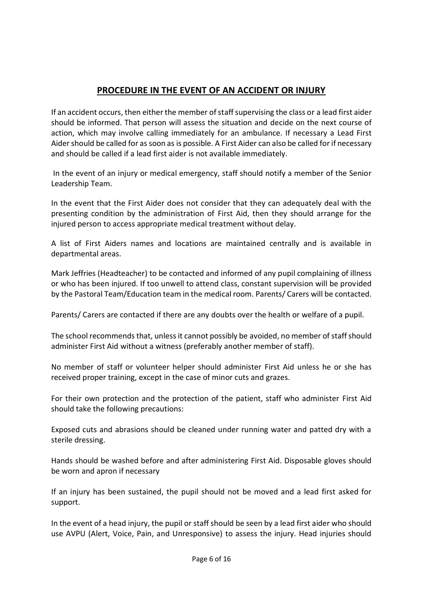# **PROCEDURE IN THE EVENT OF AN ACCIDENT OR INJURY**

If an accident occurs, then either the member of staff supervising the class or a lead first aider should be informed. That person will assess the situation and decide on the next course of action, which may involve calling immediately for an ambulance. If necessary a Lead First Aidershould be called for as soon as is possible. A First Aider can also be called for if necessary and should be called if a lead first aider is not available immediately.

In the event of an injury or medical emergency, staff should notify a member of the Senior Leadership Team.

In the event that the First Aider does not consider that they can adequately deal with the presenting condition by the administration of First Aid, then they should arrange for the injured person to access appropriate medical treatment without delay.

A list of First Aiders names and locations are maintained centrally and is available in departmental areas.

Mark Jeffries (Headteacher) to be contacted and informed of any pupil complaining of illness or who has been injured. If too unwell to attend class, constant supervision will be provided by the Pastoral Team/Education team in the medical room. Parents/ Carers will be contacted.

Parents/ Carers are contacted if there are any doubts over the health or welfare of a pupil.

The school recommends that, unless it cannot possibly be avoided, no member of staff should administer First Aid without a witness (preferably another member of staff).

No member of staff or volunteer helper should administer First Aid unless he or she has received proper training, except in the case of minor cuts and grazes.

For their own protection and the protection of the patient, staff who administer First Aid should take the following precautions:

Exposed cuts and abrasions should be cleaned under running water and patted dry with a sterile dressing.

Hands should be washed before and after administering First Aid. Disposable gloves should be worn and apron if necessary

If an injury has been sustained, the pupil should not be moved and a lead first asked for support.

In the event of a head injury, the pupil or staff should be seen by a lead first aider who should use AVPU (Alert, Voice, Pain, and Unresponsive) to assess the injury. Head injuries should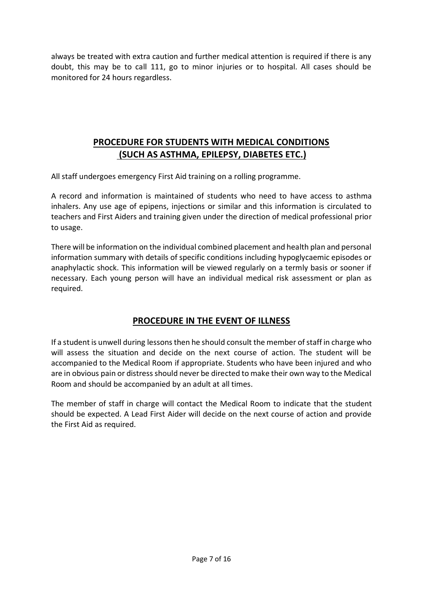always be treated with extra caution and further medical attention is required if there is any doubt, this may be to call 111, go to minor injuries or to hospital. All cases should be monitored for 24 hours regardless.

# **PROCEDURE FOR STUDENTS WITH MEDICAL CONDITIONS (SUCH AS ASTHMA, EPILEPSY, DIABETES ETC.)**

All staff undergoes emergency First Aid training on a rolling programme.

A record and information is maintained of students who need to have access to asthma inhalers. Any use age of epipens, injections or similar and this information is circulated to teachers and First Aiders and training given under the direction of medical professional prior to usage.

There will be information on the individual combined placement and health plan and personal information summary with details of specific conditions including hypoglycaemic episodes or anaphylactic shock. This information will be viewed regularly on a termly basis or sooner if necessary. Each young person will have an individual medical risk assessment or plan as required.

## **PROCEDURE IN THE EVENT OF ILLNESS**

If a student is unwell during lessons then he should consult the member of staff in charge who will assess the situation and decide on the next course of action. The student will be accompanied to the Medical Room if appropriate. Students who have been injured and who are in obvious pain or distress should never be directed to make their own way to the Medical Room and should be accompanied by an adult at all times.

The member of staff in charge will contact the Medical Room to indicate that the student should be expected. A Lead First Aider will decide on the next course of action and provide the First Aid as required.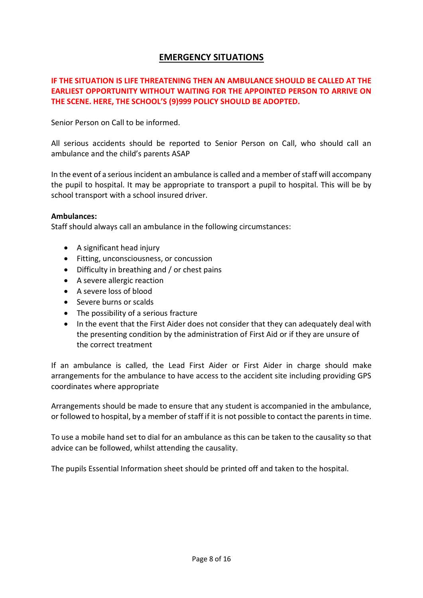## **EMERGENCY SITUATIONS**

#### **IF THE SITUATION IS LIFE THREATENING THEN AN AMBULANCE SHOULD BE CALLED AT THE EARLIEST OPPORTUNITY WITHOUT WAITING FOR THE APPOINTED PERSON TO ARRIVE ON THE SCENE. HERE, THE SCHOOL'S (9)999 POLICY SHOULD BE ADOPTED.**

Senior Person on Call to be informed.

All serious accidents should be reported to Senior Person on Call, who should call an ambulance and the child's parents ASAP

In the event of a serious incident an ambulance is called and a member of staff will accompany the pupil to hospital. It may be appropriate to transport a pupil to hospital. This will be by school transport with a school insured driver.

#### **Ambulances:**

Staff should always call an ambulance in the following circumstances:

- A significant head injury
- **•** Fitting, unconsciousness, or concussion
- Difficulty in breathing and / or chest pains
- A severe allergic reaction
- A severe loss of blood
- Severe burns or scalds
- The possibility of a serious fracture
- In the event that the First Aider does not consider that they can adequately deal with the presenting condition by the administration of First Aid or if they are unsure of the correct treatment

If an ambulance is called, the Lead First Aider or First Aider in charge should make arrangements for the ambulance to have access to the accident site including providing GPS coordinates where appropriate

Arrangements should be made to ensure that any student is accompanied in the ambulance, or followed to hospital, by a member of staff if it is not possible to contact the parents in time.

To use a mobile hand set to dial for an ambulance as this can be taken to the causality so that advice can be followed, whilst attending the causality.

The pupils Essential Information sheet should be printed off and taken to the hospital.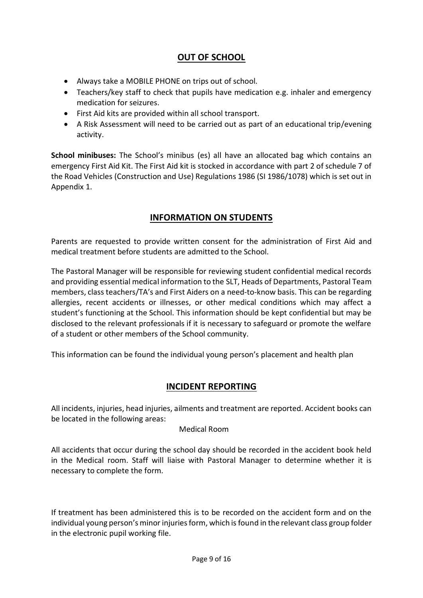## **OUT OF SCHOOL**

- Always take a MOBILE PHONE on trips out of school.
- Teachers/key staff to check that pupils have medication e.g. inhaler and emergency medication for seizures.
- First Aid kits are provided within all school transport.
- A Risk Assessment will need to be carried out as part of an educational trip/evening activity.

**School minibuses:** The School's minibus (es) all have an allocated bag which contains an emergency First Aid Kit. The First Aid kit is stocked in accordance with part 2 of schedule 7 of the Road Vehicles (Construction and Use) Regulations 1986 (SI 1986/1078) which is set out in Appendix 1.

## **INFORMATION ON STUDENTS**

Parents are requested to provide written consent for the administration of First Aid and medical treatment before students are admitted to the School.

The Pastoral Manager will be responsible for reviewing student confidential medical records and providing essential medical information to the SLT, Heads of Departments, Pastoral Team members, class teachers/TA's and First Aiders on a need-to-know basis. This can be regarding allergies, recent accidents or illnesses, or other medical conditions which may affect a student's functioning at the School. This information should be kept confidential but may be disclosed to the relevant professionals if it is necessary to safeguard or promote the welfare of a student or other members of the School community.

This information can be found the individual young person's placement and health plan

#### **INCIDENT REPORTING**

All incidents, injuries, head injuries, ailments and treatment are reported. Accident books can be located in the following areas:

#### Medical Room

All accidents that occur during the school day should be recorded in the accident book held in the Medical room. Staff will liaise with Pastoral Manager to determine whether it is necessary to complete the form.

If treatment has been administered this is to be recorded on the accident form and on the individual young person's minor injuries form, which is found in the relevant class group folder in the electronic pupil working file.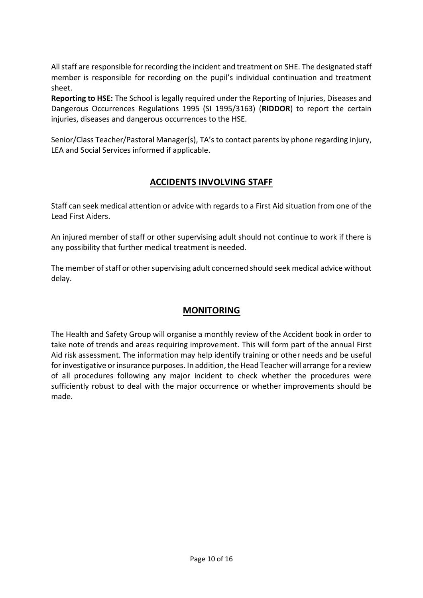All staff are responsible for recording the incident and treatment on SHE. The designated staff member is responsible for recording on the pupil's individual continuation and treatment sheet.

**Reporting to HSE:** The School is legally required under the Reporting of Injuries, Diseases and Dangerous Occurrences Regulations 1995 (SI 1995/3163) (**RIDDOR**) to report the certain injuries, diseases and dangerous occurrences to the HSE.

Senior/Class Teacher/Pastoral Manager(s), TA's to contact parents by phone regarding injury, LEA and Social Services informed if applicable.

## **ACCIDENTS INVOLVING STAFF**

Staff can seek medical attention or advice with regards to a First Aid situation from one of the Lead First Aiders.

An injured member of staff or other supervising adult should not continue to work if there is any possibility that further medical treatment is needed.

The member of staff or other supervising adult concerned should seek medical advice without delay.

## **MONITORING**

The Health and Safety Group will organise a monthly review of the Accident book in order to take note of trends and areas requiring improvement. This will form part of the annual First Aid risk assessment. The information may help identify training or other needs and be useful for investigative or insurance purposes. In addition, the Head Teacher will arrange for a review of all procedures following any major incident to check whether the procedures were sufficiently robust to deal with the major occurrence or whether improvements should be made.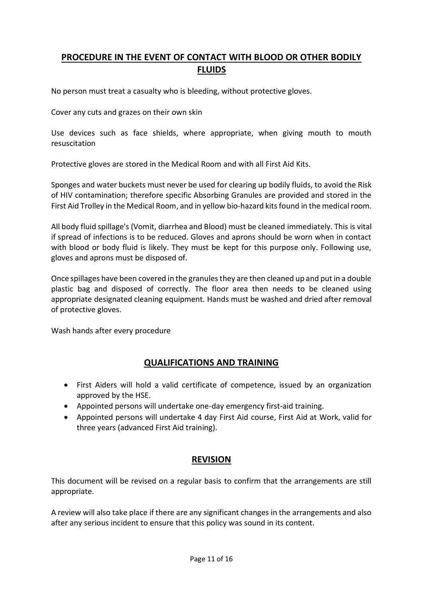# **PROCEDURE IN THE EVENT OF CONTACT WITH BLOOD OR OTHER BODILY FLUIDS**

No person must treat a casualty who is bleeding, without protective gloves.

Cover any cuts and grazes on their own skin

Use devices such as face shields, where appropriate, when giving mouth to mouth resuscitation

Protective gloves are stored in the Medical Room and with all First Aid Kits.

Sponges and water buckets must never be used for clearing up bodily fluids, to avoid the Risk of HIV contamination; therefore specific Absorbing Granules are provided and stored in the First Aid Trolley in the Medical Room, and in yellow bio-hazard kits found in the medical room.

All body fluid spillage's (Vomit, diarrhea and Blood) must be cleaned immediately. This is vital if spread of infections is to be reduced. Gloves and aprons should be worn when in contact with blood or body fluid is likely. They must be kept for this purpose only. Following use, gloves and aprons must be disposed of.

Once spillages have been covered in the granules they are then cleaned up and put in a double plastic bag and disposed of correctly. The floor area then needs to be cleaned using appropriate designated cleaning equipment. Hands must be washed and dried after removal of protective gloves.

Wash hands after every procedure

#### **QUALIFICATIONS AND TRAINING**

- First Aiders will hold a valid certificate of competence, issued by an organization approved by the HSE.
- Appointed persons will undertake one-day emergency first-aid training.
- Appointed persons will undertake 4 day First Aid course, First Aid at Work, valid for three years (advanced First Aid training).

#### **REVISION**

This document will be revised on a regular basis to confirm that the arrangements are still appropriate.

A review will also take place if there are any significant changes in the arrangements and also after any serious incident to ensure that this policy was sound in its content.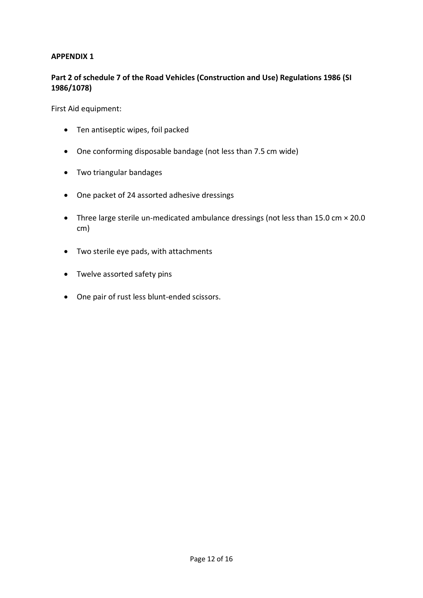#### **APPENDIX 1**

#### **Part 2 of schedule 7 of the Road Vehicles (Construction and Use) Regulations 1986 (SI 1986/1078)**

First Aid equipment:

- Ten antiseptic wipes, foil packed
- One conforming disposable bandage (not less than 7.5 cm wide)
- Two triangular bandages
- One packet of 24 assorted adhesive dressings
- Three large sterile un-medicated ambulance dressings (not less than 15.0 cm × 20.0 cm)
- Two sterile eye pads, with attachments
- Twelve assorted safety pins
- One pair of rust less blunt-ended scissors.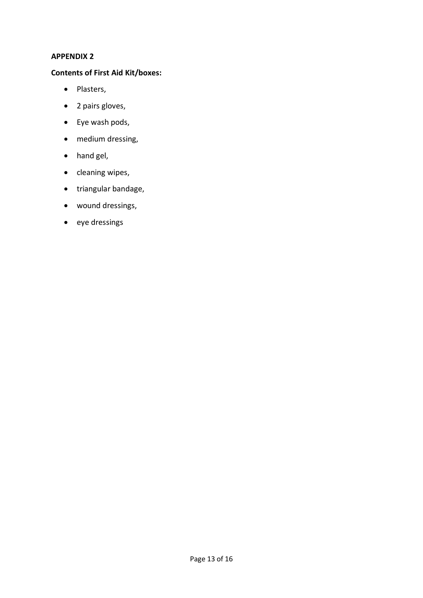#### **APPENDIX 2**

#### **Contents of First Aid Kit/boxes:**

- Plasters,
- 2 pairs gloves,
- Eye wash pods,
- medium dressing,
- hand gel,
- $\bullet$  cleaning wipes,
- triangular bandage,
- wound dressings,
- eye dressings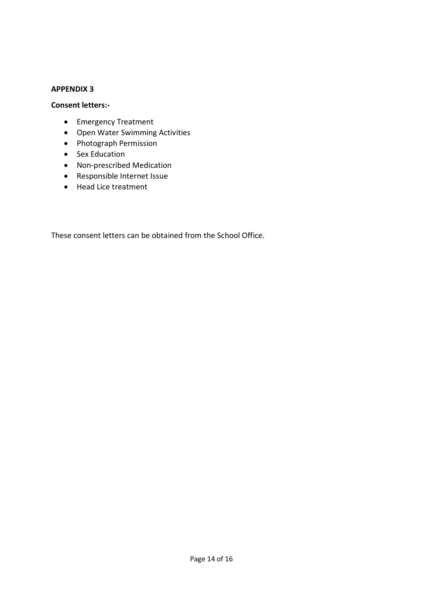#### **APPENDIX 3**

#### **Consent letters:-**

- Emergency Treatment
- Open Water Swimming Activities
- Photograph Permission
- Sex Education
- Non-prescribed Medication
- Responsible Internet Issue
- Head Lice treatment

These consent letters can be obtained from the School Office.